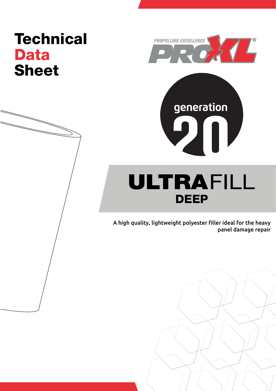# **Technical** Data Sheet



generation

ULTRAFILL DEEP

 $\mathbf{D}$ 

A high quality, lightweight polyester filler ideal for the heavy panel damage repair